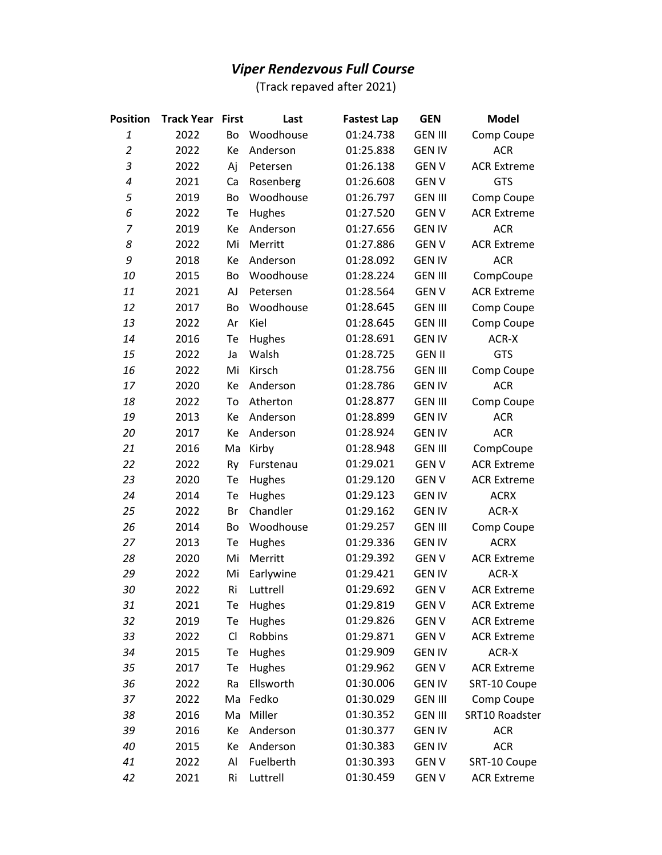## *Viper Rendezvous Full Course*

(Track repaved after 2021)

| <b>Position</b> | <b>Track Year</b> | <b>First</b> | Last      | <b>Fastest Lap</b> | <b>GEN</b>     | <b>Model</b>       |
|-----------------|-------------------|--------------|-----------|--------------------|----------------|--------------------|
| 1               | 2022              | Bo           | Woodhouse | 01:24.738          | <b>GEN III</b> | Comp Coupe         |
| $\overline{a}$  | 2022              | Ke           | Anderson  | 01:25.838          | <b>GEN IV</b>  | <b>ACR</b>         |
| 3               | 2022              | Aj           | Petersen  | 01:26.138          | <b>GENV</b>    | <b>ACR Extreme</b> |
| 4               | 2021              | Ca           | Rosenberg | 01:26.608          | <b>GENV</b>    | <b>GTS</b>         |
| 5               | 2019              | Bo           | Woodhouse | 01:26.797          | <b>GEN III</b> | Comp Coupe         |
| 6               | 2022              | Te           | Hughes    | 01:27.520          | <b>GENV</b>    | <b>ACR Extreme</b> |
| 7               | 2019              | Ke           | Anderson  | 01:27.656          | <b>GEN IV</b>  | <b>ACR</b>         |
| 8               | 2022              | Mi           | Merritt   | 01:27.886          | <b>GENV</b>    | <b>ACR Extreme</b> |
| 9               | 2018              | Ke           | Anderson  | 01:28.092          | <b>GEN IV</b>  | <b>ACR</b>         |
| 10              | 2015              | Bo           | Woodhouse | 01:28.224          | <b>GEN III</b> | CompCoupe          |
| 11              | 2021              | AJ           | Petersen  | 01:28.564          | <b>GENV</b>    | <b>ACR Extreme</b> |
| 12              | 2017              | Bo           | Woodhouse | 01:28.645          | <b>GEN III</b> | Comp Coupe         |
| 13              | 2022              | Ar           | Kiel      | 01:28.645          | <b>GEN III</b> | Comp Coupe         |
| 14              | 2016              | Te           | Hughes    | 01:28.691          | <b>GEN IV</b>  | ACR-X              |
| 15              | 2022              | Ja           | Walsh     | 01:28.725          | <b>GEN II</b>  | <b>GTS</b>         |
| 16              | 2022              | Mi           | Kirsch    | 01:28.756          | <b>GEN III</b> | Comp Coupe         |
| 17              | 2020              | Ke           | Anderson  | 01:28.786          | <b>GEN IV</b>  | <b>ACR</b>         |
| 18              | 2022              | To           | Atherton  | 01:28.877          | <b>GEN III</b> | Comp Coupe         |
| 19              | 2013              | Ke           | Anderson  | 01:28.899          | <b>GEN IV</b>  | <b>ACR</b>         |
| 20              | 2017              | Ke           | Anderson  | 01:28.924          | <b>GEN IV</b>  | <b>ACR</b>         |
| 21              | 2016              | Ma           | Kirby     | 01:28.948          | <b>GEN III</b> | CompCoupe          |
| 22              | 2022              | Ry           | Furstenau | 01:29.021          | <b>GENV</b>    | <b>ACR Extreme</b> |
| 23              | 2020              | Te           | Hughes    | 01:29.120          | <b>GENV</b>    | <b>ACR Extreme</b> |
| 24              | 2014              | Te           | Hughes    | 01:29.123          | <b>GEN IV</b>  | <b>ACRX</b>        |
| 25              | 2022              | Br           | Chandler  | 01:29.162          | <b>GEN IV</b>  | ACR-X              |
| 26              | 2014              | Bo           | Woodhouse | 01:29.257          | <b>GEN III</b> | Comp Coupe         |
| 27              | 2013              | Te           | Hughes    | 01:29.336          | <b>GEN IV</b>  | <b>ACRX</b>        |
| 28              | 2020              | Mi           | Merritt   | 01:29.392          | <b>GENV</b>    | <b>ACR Extreme</b> |
| 29              | 2022              | Mi           | Earlywine | 01:29.421          | <b>GEN IV</b>  | ACR-X              |
| 30              | 2022              | Ri           | Luttrell  | 01:29.692          | <b>GENV</b>    | <b>ACR Extreme</b> |
| 31              | 2021              | Te           | Hughes    | 01:29.819          | <b>GENV</b>    | <b>ACR Extreme</b> |
| 32              | 2019              | Te           | Hughes    | 01:29.826          | <b>GENV</b>    | <b>ACR Extreme</b> |
| 33              | 2022              | CI           | Robbins   | 01:29.871          | <b>GENV</b>    | <b>ACR Extreme</b> |
| 34              | 2015              | Te           | Hughes    | 01:29.909          | <b>GEN IV</b>  | ACR-X              |
| 35              | 2017              | Te           | Hughes    | 01:29.962          | <b>GENV</b>    | <b>ACR Extreme</b> |
| 36              | 2022              | Ra           | Ellsworth | 01:30.006          | <b>GEN IV</b>  | SRT-10 Coupe       |
| 37              | 2022              | Ma           | Fedko     | 01:30.029          | <b>GEN III</b> | Comp Coupe         |
| 38              | 2016              | Ma           | Miller    | 01:30.352          | <b>GEN III</b> | SRT10 Roadster     |
| 39              | 2016              | Кe           | Anderson  | 01:30.377          | <b>GEN IV</b>  | <b>ACR</b>         |
| 40              | 2015              | Ke           | Anderson  | 01:30.383          | <b>GEN IV</b>  | <b>ACR</b>         |
| 41              | 2022              | Al           | Fuelberth | 01:30.393          | <b>GENV</b>    | SRT-10 Coupe       |
| 42              | 2021              | Ri           | Luttrell  | 01:30.459          | <b>GENV</b>    | <b>ACR Extreme</b> |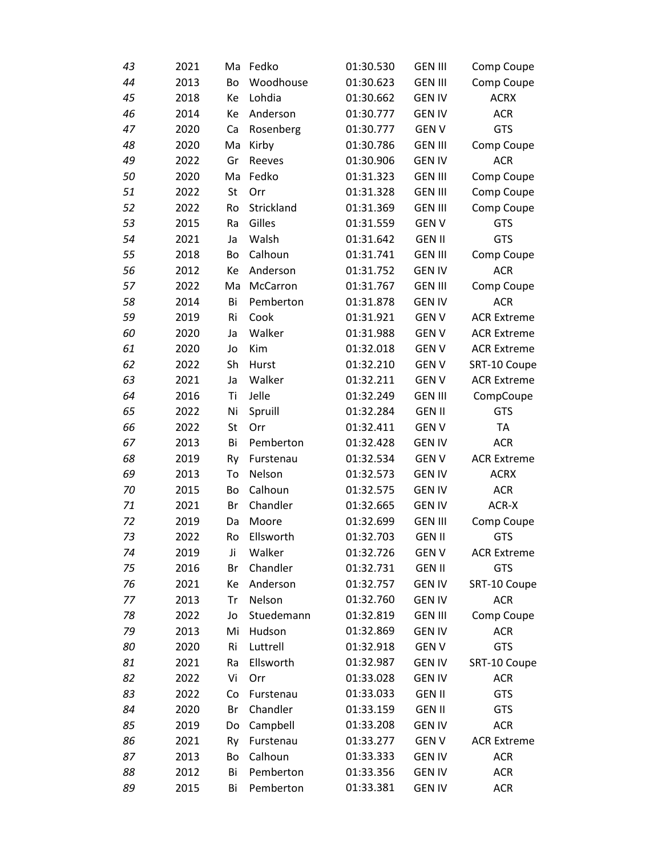| 43 | 2021 | Ma | Fedko      | 01:30.530 | <b>GEN III</b> | Comp Coupe         |
|----|------|----|------------|-----------|----------------|--------------------|
| 44 | 2013 | Bo | Woodhouse  | 01:30.623 | <b>GEN III</b> | Comp Coupe         |
| 45 | 2018 | Ke | Lohdia     | 01:30.662 | <b>GEN IV</b>  | <b>ACRX</b>        |
| 46 | 2014 | Ke | Anderson   | 01:30.777 | <b>GEN IV</b>  | <b>ACR</b>         |
| 47 | 2020 | Ca | Rosenberg  | 01:30.777 | <b>GENV</b>    | <b>GTS</b>         |
| 48 | 2020 | Ma | Kirby      | 01:30.786 | <b>GEN III</b> | Comp Coupe         |
| 49 | 2022 | Gr | Reeves     | 01:30.906 | <b>GEN IV</b>  | <b>ACR</b>         |
| 50 | 2020 | Ma | Fedko      | 01:31.323 | <b>GEN III</b> | Comp Coupe         |
| 51 | 2022 | St | Orr        | 01:31.328 | <b>GEN III</b> | Comp Coupe         |
| 52 | 2022 | Ro | Strickland | 01:31.369 | <b>GEN III</b> | Comp Coupe         |
| 53 | 2015 | Ra | Gilles     | 01:31.559 | <b>GENV</b>    | <b>GTS</b>         |
| 54 | 2021 | Ja | Walsh      | 01:31.642 | <b>GEN II</b>  | GTS                |
| 55 | 2018 | Bo | Calhoun    | 01:31.741 | <b>GEN III</b> | Comp Coupe         |
| 56 | 2012 | Ke | Anderson   | 01:31.752 | <b>GEN IV</b>  | <b>ACR</b>         |
| 57 | 2022 | Ma | McCarron   | 01:31.767 | <b>GEN III</b> | Comp Coupe         |
| 58 | 2014 | Bi | Pemberton  | 01:31.878 | <b>GEN IV</b>  | <b>ACR</b>         |
| 59 | 2019 | Ri | Cook       | 01:31.921 | <b>GENV</b>    | <b>ACR Extreme</b> |
| 60 | 2020 | Ja | Walker     | 01:31.988 | <b>GENV</b>    | <b>ACR Extreme</b> |
| 61 | 2020 | Jo | Kim        | 01:32.018 | <b>GENV</b>    | <b>ACR Extreme</b> |
| 62 | 2022 | Sh | Hurst      | 01:32.210 | <b>GENV</b>    | SRT-10 Coupe       |
| 63 | 2021 | Ja | Walker     | 01:32.211 | <b>GENV</b>    | <b>ACR Extreme</b> |
| 64 | 2016 | Ti | Jelle      | 01:32.249 | <b>GEN III</b> | CompCoupe          |
| 65 | 2022 | Ni | Spruill    | 01:32.284 | <b>GEN II</b>  | <b>GTS</b>         |
| 66 | 2022 | St | Orr        | 01:32.411 | <b>GENV</b>    | <b>TA</b>          |
| 67 | 2013 | Bi | Pemberton  | 01:32.428 | <b>GEN IV</b>  | <b>ACR</b>         |
| 68 | 2019 | Ry | Furstenau  | 01:32.534 | <b>GENV</b>    | <b>ACR Extreme</b> |
| 69 | 2013 | To | Nelson     | 01:32.573 | <b>GEN IV</b>  | <b>ACRX</b>        |
| 70 | 2015 | Bo | Calhoun    | 01:32.575 | <b>GEN IV</b>  | <b>ACR</b>         |
| 71 | 2021 | Br | Chandler   | 01:32.665 | <b>GEN IV</b>  | ACR-X              |
| 72 | 2019 | Da | Moore      | 01:32.699 | <b>GEN III</b> | Comp Coupe         |
| 73 | 2022 | Ro | Ellsworth  | 01:32.703 | <b>GEN II</b>  | <b>GTS</b>         |
| 74 | 2019 | Ji | Walker     | 01:32.726 | <b>GENV</b>    | <b>ACR Extreme</b> |
| 75 | 2016 | Br | Chandler   | 01:32.731 | <b>GEN II</b>  | <b>GTS</b>         |
| 76 | 2021 | Ke | Anderson   | 01:32.757 | <b>GEN IV</b>  | SRT-10 Coupe       |
| 77 | 2013 | Tr | Nelson     | 01:32.760 | <b>GEN IV</b>  | <b>ACR</b>         |
| 78 | 2022 | Jo | Stuedemann | 01:32.819 | <b>GEN III</b> | Comp Coupe         |
| 79 | 2013 | Mi | Hudson     | 01:32.869 | <b>GEN IV</b>  | <b>ACR</b>         |
| 80 | 2020 | Ri | Luttrell   | 01:32.918 | <b>GENV</b>    | <b>GTS</b>         |
| 81 | 2021 | Ra | Ellsworth  | 01:32.987 | <b>GEN IV</b>  | SRT-10 Coupe       |
| 82 | 2022 | Vi | Orr        | 01:33.028 | <b>GEN IV</b>  | <b>ACR</b>         |
| 83 | 2022 | Co | Furstenau  | 01:33.033 | <b>GEN II</b>  | <b>GTS</b>         |
| 84 | 2020 | Br | Chandler   | 01:33.159 | <b>GEN II</b>  | <b>GTS</b>         |
| 85 | 2019 | Do | Campbell   | 01:33.208 | <b>GEN IV</b>  | <b>ACR</b>         |
| 86 | 2021 | Ry | Furstenau  | 01:33.277 | <b>GENV</b>    | <b>ACR Extreme</b> |
| 87 | 2013 | Bo | Calhoun    | 01:33.333 | <b>GEN IV</b>  | <b>ACR</b>         |
| 88 | 2012 | Bi | Pemberton  | 01:33.356 | <b>GEN IV</b>  | ACR                |
| 89 | 2015 | Bi | Pemberton  | 01:33.381 | <b>GEN IV</b>  | <b>ACR</b>         |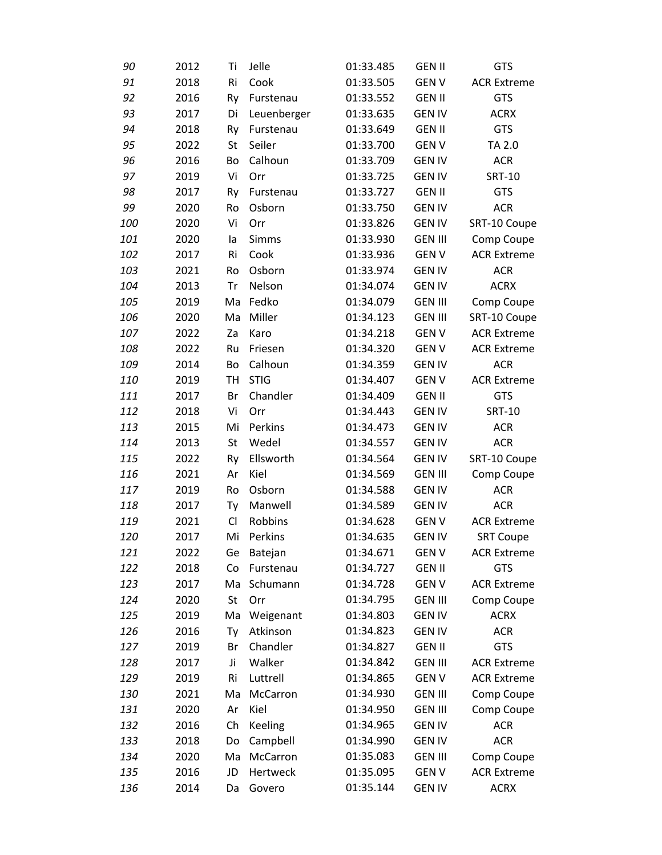| 90  | 2012 | Ti        | Jelle          | 01:33.485 | <b>GEN II</b>  | <b>GTS</b>         |
|-----|------|-----------|----------------|-----------|----------------|--------------------|
| 91  | 2018 | Ri        | Cook           | 01:33.505 | <b>GENV</b>    | <b>ACR Extreme</b> |
| 92  | 2016 | Ry        | Furstenau      | 01:33.552 | <b>GEN II</b>  | <b>GTS</b>         |
| 93  | 2017 | Di        | Leuenberger    | 01:33.635 | <b>GEN IV</b>  | <b>ACRX</b>        |
| 94  | 2018 | Ry        | Furstenau      | 01:33.649 | <b>GEN II</b>  | <b>GTS</b>         |
| 95  | 2022 | St        | Seiler         | 01:33.700 | <b>GENV</b>    | TA 2.0             |
| 96  | 2016 | Bo        | Calhoun        | 01:33.709 | <b>GEN IV</b>  | <b>ACR</b>         |
| 97  | 2019 | Vi        | Orr            | 01:33.725 | <b>GEN IV</b>  | <b>SRT-10</b>      |
| 98  | 2017 | Ry        | Furstenau      | 01:33.727 | <b>GEN II</b>  | <b>GTS</b>         |
| 99  | 2020 | Ro        | Osborn         | 01:33.750 | <b>GEN IV</b>  | <b>ACR</b>         |
| 100 | 2020 | Vi        | Orr            | 01:33.826 | <b>GEN IV</b>  | SRT-10 Coupe       |
| 101 | 2020 | la        | <b>Simms</b>   | 01:33.930 | <b>GEN III</b> | Comp Coupe         |
| 102 | 2017 | Ri        | Cook           | 01:33.936 | <b>GENV</b>    | <b>ACR Extreme</b> |
| 103 | 2021 | Ro        | Osborn         | 01:33.974 | <b>GEN IV</b>  | <b>ACR</b>         |
| 104 | 2013 | Tr        | Nelson         | 01:34.074 | <b>GEN IV</b>  | <b>ACRX</b>        |
| 105 | 2019 | Ma        | Fedko          | 01:34.079 | <b>GEN III</b> | Comp Coupe         |
| 106 | 2020 | Ma        | Miller         | 01:34.123 | <b>GEN III</b> | SRT-10 Coupe       |
| 107 | 2022 | Za        | Karo           | 01:34.218 | <b>GENV</b>    | <b>ACR Extreme</b> |
| 108 | 2022 | Ru        | Friesen        | 01:34.320 | <b>GENV</b>    | <b>ACR Extreme</b> |
| 109 | 2014 | Bo        | Calhoun        | 01:34.359 | <b>GEN IV</b>  | <b>ACR</b>         |
| 110 | 2019 | <b>TH</b> | <b>STIG</b>    | 01:34.407 | <b>GENV</b>    | <b>ACR Extreme</b> |
| 111 | 2017 | Br        | Chandler       | 01:34.409 | <b>GEN II</b>  | GTS                |
| 112 | 2018 | Vi        | Orr            | 01:34.443 | <b>GEN IV</b>  | <b>SRT-10</b>      |
| 113 | 2015 | Mi        | Perkins        | 01:34.473 | <b>GEN IV</b>  | <b>ACR</b>         |
| 114 | 2013 | St        | Wedel          | 01:34.557 | <b>GEN IV</b>  | <b>ACR</b>         |
| 115 | 2022 | Ry        | Ellsworth      | 01:34.564 | <b>GEN IV</b>  | SRT-10 Coupe       |
| 116 | 2021 | Ar        | Kiel           | 01:34.569 | <b>GEN III</b> | Comp Coupe         |
| 117 | 2019 | Ro        | Osborn         | 01:34.588 | <b>GEN IV</b>  | <b>ACR</b>         |
| 118 | 2017 | Ty        | Manwell        | 01:34.589 | <b>GEN IV</b>  | <b>ACR</b>         |
| 119 | 2021 | Cl        | Robbins        | 01:34.628 | <b>GENV</b>    | <b>ACR Extreme</b> |
| 120 | 2017 | Mi        | Perkins        | 01:34.635 | <b>GEN IV</b>  | <b>SRT Coupe</b>   |
| 121 | 2022 | Ge        | Batejan        | 01:34.671 | <b>GENV</b>    | <b>ACR Extreme</b> |
| 122 | 2018 | Co        | Furstenau      | 01:34.727 | <b>GEN II</b>  | <b>GTS</b>         |
| 123 | 2017 | Ma        | Schumann       | 01:34.728 | <b>GEN V</b>   | <b>ACR Extreme</b> |
| 124 | 2020 | St        | Orr            | 01:34.795 | <b>GEN III</b> | Comp Coupe         |
| 125 | 2019 | Ma        | Weigenant      | 01:34.803 | <b>GEN IV</b>  | <b>ACRX</b>        |
| 126 | 2016 | Ty        | Atkinson       | 01:34.823 | <b>GEN IV</b>  | <b>ACR</b>         |
| 127 | 2019 | Br        | Chandler       | 01:34.827 | <b>GEN II</b>  | <b>GTS</b>         |
| 128 | 2017 | Ji        | Walker         | 01:34.842 | <b>GEN III</b> | <b>ACR Extreme</b> |
| 129 | 2019 | Ri        | Luttrell       | 01:34.865 | <b>GENV</b>    | <b>ACR Extreme</b> |
| 130 | 2021 | Ma        | McCarron       | 01:34.930 | <b>GEN III</b> | Comp Coupe         |
| 131 | 2020 | Ar        | Kiel           | 01:34.950 | <b>GEN III</b> | Comp Coupe         |
| 132 | 2016 | Ch        | <b>Keeling</b> | 01:34.965 | <b>GEN IV</b>  | <b>ACR</b>         |
| 133 | 2018 | Do        | Campbell       | 01:34.990 | <b>GEN IV</b>  | <b>ACR</b>         |
| 134 | 2020 | Ma        | McCarron       | 01:35.083 | <b>GEN III</b> | Comp Coupe         |
| 135 | 2016 | JD        | Hertweck       | 01:35.095 | <b>GEN V</b>   | <b>ACR Extreme</b> |
| 136 | 2014 | Da        | Govero         | 01:35.144 | <b>GEN IV</b>  | <b>ACRX</b>        |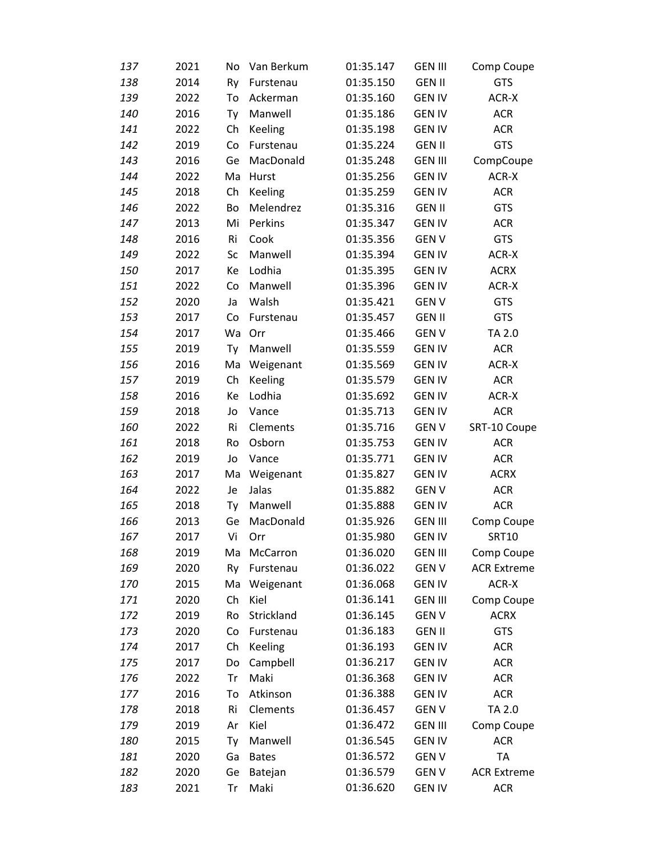| 137 | 2021 | No. | Van Berkum     | 01:35.147 | <b>GEN III</b> | Comp Coupe         |
|-----|------|-----|----------------|-----------|----------------|--------------------|
| 138 | 2014 | Ry  | Furstenau      | 01:35.150 | <b>GEN II</b>  | <b>GTS</b>         |
| 139 | 2022 | To  | Ackerman       | 01:35.160 | <b>GEN IV</b>  | ACR-X              |
| 140 | 2016 | Ty  | Manwell        | 01:35.186 | <b>GEN IV</b>  | <b>ACR</b>         |
| 141 | 2022 | Ch  | Keeling        | 01:35.198 | <b>GEN IV</b>  | <b>ACR</b>         |
| 142 | 2019 | Co  | Furstenau      | 01:35.224 | <b>GEN II</b>  | <b>GTS</b>         |
| 143 | 2016 | Ge  | MacDonald      | 01:35.248 | <b>GEN III</b> | CompCoupe          |
| 144 | 2022 | Ma  | Hurst          | 01:35.256 | <b>GEN IV</b>  | ACR-X              |
| 145 | 2018 | Ch  | <b>Keeling</b> | 01:35.259 | <b>GEN IV</b>  | <b>ACR</b>         |
| 146 | 2022 | Bo  | Melendrez      | 01:35.316 | <b>GEN II</b>  | <b>GTS</b>         |
| 147 | 2013 | Mi  | Perkins        | 01:35.347 | <b>GEN IV</b>  | <b>ACR</b>         |
| 148 | 2016 | Ri  | Cook           | 01:35.356 | <b>GENV</b>    | <b>GTS</b>         |
| 149 | 2022 | Sc  | Manwell        | 01:35.394 | <b>GEN IV</b>  | ACR-X              |
| 150 | 2017 | Кe  | Lodhia         | 01:35.395 | <b>GEN IV</b>  | <b>ACRX</b>        |
| 151 | 2022 | Co  | Manwell        | 01:35.396 | <b>GEN IV</b>  | ACR-X              |
| 152 | 2020 | Ja  | Walsh          | 01:35.421 | <b>GENV</b>    | <b>GTS</b>         |
| 153 | 2017 | Co  | Furstenau      | 01:35.457 | <b>GEN II</b>  | <b>GTS</b>         |
| 154 | 2017 | Wa  | Orr            | 01:35.466 | <b>GENV</b>    | TA 2.0             |
| 155 | 2019 | Ty  | Manwell        | 01:35.559 | <b>GEN IV</b>  | <b>ACR</b>         |
| 156 | 2016 | Ma  | Weigenant      | 01:35.569 | <b>GEN IV</b>  | ACR-X              |
| 157 | 2019 | Ch  | <b>Keeling</b> | 01:35.579 | <b>GEN IV</b>  | <b>ACR</b>         |
| 158 | 2016 | Кe  | Lodhia         | 01:35.692 | <b>GEN IV</b>  | ACR-X              |
| 159 | 2018 | Jo  | Vance          | 01:35.713 | <b>GEN IV</b>  | <b>ACR</b>         |
| 160 | 2022 | Ri  | Clements       | 01:35.716 | <b>GENV</b>    | SRT-10 Coupe       |
| 161 | 2018 | Ro  | Osborn         | 01:35.753 | <b>GEN IV</b>  | <b>ACR</b>         |
| 162 | 2019 | Jo  | Vance          | 01:35.771 | <b>GEN IV</b>  | <b>ACR</b>         |
| 163 | 2017 | Ma  | Weigenant      | 01:35.827 | <b>GEN IV</b>  | <b>ACRX</b>        |
| 164 | 2022 | Je  | Jalas          | 01:35.882 | <b>GENV</b>    | <b>ACR</b>         |
| 165 | 2018 | Ty  | Manwell        | 01:35.888 | <b>GEN IV</b>  | <b>ACR</b>         |
| 166 | 2013 | Ge  | MacDonald      | 01:35.926 | <b>GEN III</b> | Comp Coupe         |
| 167 | 2017 | Vi  | Orr            | 01:35.980 | <b>GEN IV</b>  | <b>SRT10</b>       |
| 168 | 2019 | Ma  | McCarron       | 01:36.020 | <b>GEN III</b> | Comp Coupe         |
| 169 | 2020 | Ry  | Furstenau      | 01:36.022 | <b>GENV</b>    | <b>ACR Extreme</b> |
| 170 | 2015 | Ma  | Weigenant      | 01:36.068 | <b>GEN IV</b>  | ACR-X              |
| 171 | 2020 | Ch  | Kiel           | 01:36.141 | <b>GEN III</b> | Comp Coupe         |
| 172 | 2019 | Ro  | Strickland     | 01:36.145 | <b>GENV</b>    | <b>ACRX</b>        |
| 173 | 2020 | Co  | Furstenau      | 01:36.183 | <b>GEN II</b>  | <b>GTS</b>         |
| 174 | 2017 | Ch  | <b>Keeling</b> | 01:36.193 | <b>GEN IV</b>  | <b>ACR</b>         |
| 175 | 2017 | Do  | Campbell       | 01:36.217 | <b>GEN IV</b>  | <b>ACR</b>         |
| 176 | 2022 | Tr  | Maki           | 01:36.368 | <b>GEN IV</b>  | <b>ACR</b>         |
| 177 | 2016 | To  | Atkinson       | 01:36.388 | <b>GEN IV</b>  | <b>ACR</b>         |
| 178 | 2018 | Ri  | Clements       | 01:36.457 | <b>GENV</b>    | TA 2.0             |
| 179 | 2019 | Ar  | Kiel           | 01:36.472 | <b>GEN III</b> | Comp Coupe         |
| 180 | 2015 | Ty  | Manwell        | 01:36.545 | <b>GEN IV</b>  | <b>ACR</b>         |
| 181 | 2020 | Ga  | <b>Bates</b>   | 01:36.572 | <b>GENV</b>    | TA                 |
| 182 | 2020 | Ge  | Batejan        | 01:36.579 | <b>GEN V</b>   | <b>ACR Extreme</b> |
| 183 | 2021 | Tr  | Maki           | 01:36.620 | <b>GEN IV</b>  | <b>ACR</b>         |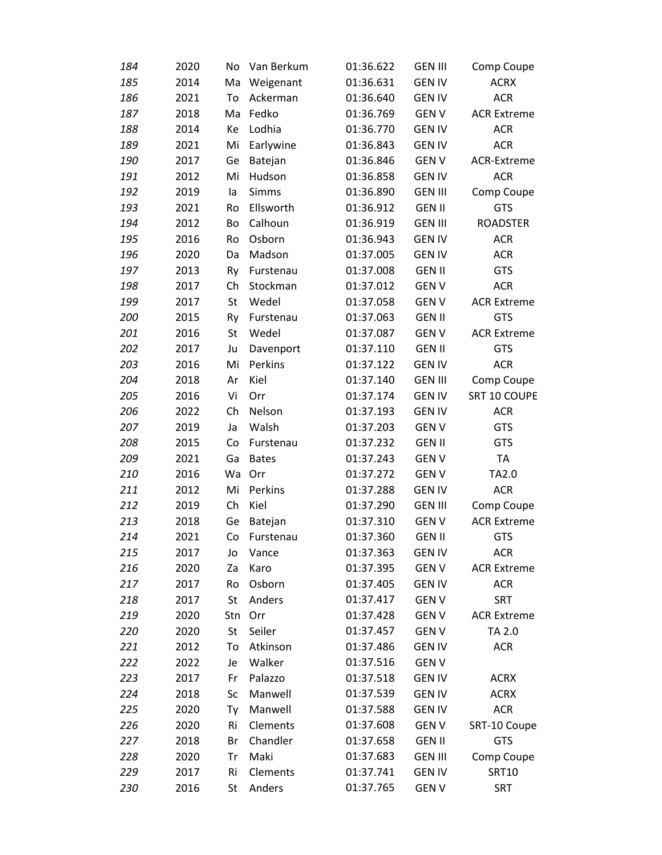| 184 | 2020 | No  | Van Berkum   | 01:36.622 | <b>GEN III</b> | Comp Coupe         |
|-----|------|-----|--------------|-----------|----------------|--------------------|
| 185 | 2014 | Ma  | Weigenant    | 01:36.631 | <b>GEN IV</b>  | <b>ACRX</b>        |
| 186 | 2021 | To  | Ackerman     | 01:36.640 | <b>GEN IV</b>  | <b>ACR</b>         |
| 187 | 2018 | Ma  | Fedko        | 01:36.769 | <b>GENV</b>    | <b>ACR Extreme</b> |
| 188 | 2014 | Ke  | Lodhia       | 01:36.770 | <b>GEN IV</b>  | <b>ACR</b>         |
| 189 | 2021 | Mi  | Earlywine    | 01:36.843 | <b>GEN IV</b>  | <b>ACR</b>         |
| 190 | 2017 | Ge  | Batejan      | 01:36.846 | <b>GENV</b>    | ACR-Extreme        |
| 191 | 2012 | Mi  | Hudson       | 01:36.858 | <b>GEN IV</b>  | <b>ACR</b>         |
| 192 | 2019 | la  | Simms        | 01:36.890 | <b>GEN III</b> | Comp Coupe         |
| 193 | 2021 | Ro  | Ellsworth    | 01:36.912 | <b>GEN II</b>  | <b>GTS</b>         |
| 194 | 2012 | Bo  | Calhoun      | 01:36.919 | <b>GEN III</b> | <b>ROADSTER</b>    |
| 195 | 2016 | Ro  | Osborn       | 01:36.943 | <b>GEN IV</b>  | <b>ACR</b>         |
| 196 | 2020 | Da  | Madson       | 01:37.005 | <b>GEN IV</b>  | <b>ACR</b>         |
| 197 | 2013 | Ry  | Furstenau    | 01:37.008 | <b>GEN II</b>  | <b>GTS</b>         |
| 198 | 2017 | Ch  | Stockman     | 01:37.012 | <b>GENV</b>    | <b>ACR</b>         |
| 199 | 2017 | St  | Wedel        | 01:37.058 | <b>GENV</b>    | <b>ACR Extreme</b> |
| 200 | 2015 | Ry  | Furstenau    | 01:37.063 | <b>GEN II</b>  | <b>GTS</b>         |
| 201 | 2016 | St  | Wedel        | 01:37.087 | <b>GENV</b>    | <b>ACR Extreme</b> |
| 202 | 2017 | Ju  | Davenport    | 01:37.110 | <b>GEN II</b>  | <b>GTS</b>         |
| 203 | 2016 | Mi  | Perkins      | 01:37.122 | <b>GEN IV</b>  | <b>ACR</b>         |
| 204 | 2018 | Ar  | Kiel         | 01:37.140 | <b>GEN III</b> | Comp Coupe         |
| 205 | 2016 | Vi  | Orr          | 01:37.174 | <b>GEN IV</b>  | SRT 10 COUPE       |
| 206 | 2022 | Ch  | Nelson       | 01:37.193 | <b>GEN IV</b>  | <b>ACR</b>         |
| 207 | 2019 | Ja  | Walsh        | 01:37.203 | <b>GENV</b>    | <b>GTS</b>         |
| 208 | 2015 | Co  | Furstenau    | 01:37.232 | <b>GEN II</b>  | GTS                |
| 209 | 2021 | Ga  | <b>Bates</b> | 01:37.243 | <b>GENV</b>    | <b>TA</b>          |
| 210 | 2016 | Wa  | Orr          | 01:37.272 | <b>GENV</b>    | TA2.0              |
| 211 | 2012 | Mi  | Perkins      | 01:37.288 | <b>GEN IV</b>  | <b>ACR</b>         |
| 212 | 2019 | Ch  | Kiel         | 01:37.290 | <b>GEN III</b> | Comp Coupe         |
| 213 | 2018 | Ge  | Batejan      | 01:37.310 | <b>GENV</b>    | <b>ACR Extreme</b> |
| 214 | 2021 | Co  | Furstenau    | 01:37.360 | <b>GEN II</b>  | <b>GTS</b>         |
| 215 | 2017 | Jo  | Vance        | 01:37.363 | <b>GEN IV</b>  | <b>ACR</b>         |
| 216 | 2020 | Za  | Karo         | 01:37.395 | <b>GENV</b>    | <b>ACR Extreme</b> |
| 217 | 2017 | Ro  | Osborn       | 01:37.405 | <b>GEN IV</b>  | <b>ACR</b>         |
| 218 | 2017 | St  | Anders       | 01:37.417 | <b>GENV</b>    | <b>SRT</b>         |
| 219 | 2020 | Stn | Orr          | 01:37.428 | <b>GENV</b>    | <b>ACR Extreme</b> |
| 220 | 2020 | St  | Seiler       | 01:37.457 | <b>GENV</b>    | TA 2.0             |
| 221 | 2012 | To  | Atkinson     | 01:37.486 | <b>GEN IV</b>  | <b>ACR</b>         |
| 222 | 2022 | Je  | Walker       | 01:37.516 | <b>GENV</b>    |                    |
| 223 | 2017 | Fr  | Palazzo      | 01:37.518 | <b>GEN IV</b>  | <b>ACRX</b>        |
| 224 | 2018 | Sc  | Manwell      | 01:37.539 | <b>GEN IV</b>  | <b>ACRX</b>        |
| 225 | 2020 | Ty  | Manwell      | 01:37.588 | <b>GEN IV</b>  | <b>ACR</b>         |
| 226 | 2020 | Ri  | Clements     | 01:37.608 | <b>GENV</b>    | SRT-10 Coupe       |
| 227 | 2018 | Br  | Chandler     | 01:37.658 | <b>GEN II</b>  | GTS                |
| 228 | 2020 | Tr  | Maki         | 01:37.683 | <b>GEN III</b> | Comp Coupe         |
| 229 | 2017 | Ri  | Clements     | 01:37.741 | <b>GEN IV</b>  | <b>SRT10</b>       |
| 230 | 2016 | St  | Anders       | 01:37.765 | <b>GENV</b>    | <b>SRT</b>         |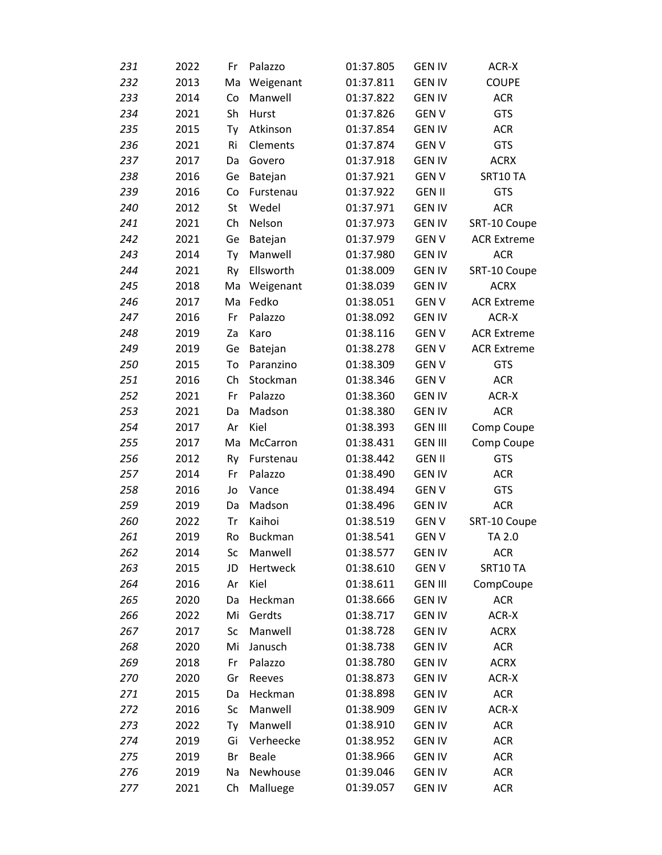| 231 | 2022 | Fr | Palazzo        | 01:37.805 | <b>GEN IV</b>  | ACR-X              |
|-----|------|----|----------------|-----------|----------------|--------------------|
| 232 | 2013 | Ma | Weigenant      | 01:37.811 | <b>GEN IV</b>  | <b>COUPE</b>       |
| 233 | 2014 | Co | Manwell        | 01:37.822 | <b>GEN IV</b>  | <b>ACR</b>         |
| 234 | 2021 | Sh | Hurst          | 01:37.826 | <b>GENV</b>    | <b>GTS</b>         |
| 235 | 2015 | Ty | Atkinson       | 01:37.854 | <b>GEN IV</b>  | <b>ACR</b>         |
| 236 | 2021 | Ri | Clements       | 01:37.874 | <b>GENV</b>    | <b>GTS</b>         |
| 237 | 2017 | Da | Govero         | 01:37.918 | <b>GEN IV</b>  | <b>ACRX</b>        |
| 238 | 2016 | Ge | Batejan        | 01:37.921 | <b>GENV</b>    | SRT10 TA           |
| 239 | 2016 | Co | Furstenau      | 01:37.922 | <b>GEN II</b>  | <b>GTS</b>         |
| 240 | 2012 | St | Wedel          | 01:37.971 | <b>GEN IV</b>  | <b>ACR</b>         |
| 241 | 2021 | Ch | Nelson         | 01:37.973 | <b>GEN IV</b>  | SRT-10 Coupe       |
| 242 | 2021 | Ge | Batejan        | 01:37.979 | <b>GENV</b>    | <b>ACR Extreme</b> |
| 243 | 2014 | Ty | Manwell        | 01:37.980 | <b>GEN IV</b>  | <b>ACR</b>         |
| 244 | 2021 | Ry | Ellsworth      | 01:38.009 | <b>GEN IV</b>  | SRT-10 Coupe       |
| 245 | 2018 | Ma | Weigenant      | 01:38.039 | <b>GEN IV</b>  | <b>ACRX</b>        |
| 246 | 2017 | Ma | Fedko          | 01:38.051 | <b>GENV</b>    | <b>ACR Extreme</b> |
| 247 | 2016 | Fr | Palazzo        | 01:38.092 | <b>GEN IV</b>  | ACR-X              |
| 248 | 2019 | Za | Karo           | 01:38.116 | <b>GENV</b>    | <b>ACR Extreme</b> |
| 249 | 2019 | Ge | Batejan        | 01:38.278 | <b>GENV</b>    | <b>ACR Extreme</b> |
| 250 | 2015 | To | Paranzino      | 01:38.309 | <b>GENV</b>    | <b>GTS</b>         |
| 251 | 2016 | Ch | Stockman       | 01:38.346 | <b>GENV</b>    | <b>ACR</b>         |
| 252 | 2021 | Fr | Palazzo        | 01:38.360 | <b>GEN IV</b>  | ACR-X              |
| 253 | 2021 | Da | Madson         | 01:38.380 | <b>GEN IV</b>  | <b>ACR</b>         |
| 254 | 2017 | Ar | Kiel           | 01:38.393 | <b>GEN III</b> | Comp Coupe         |
| 255 | 2017 | Ma | McCarron       | 01:38.431 | <b>GEN III</b> | Comp Coupe         |
| 256 | 2012 | Ry | Furstenau      | 01:38.442 | <b>GEN II</b>  | <b>GTS</b>         |
| 257 | 2014 | Fr | Palazzo        | 01:38.490 | <b>GEN IV</b>  | <b>ACR</b>         |
| 258 | 2016 | Jo | Vance          | 01:38.494 | <b>GENV</b>    | <b>GTS</b>         |
| 259 | 2019 | Da | Madson         | 01:38.496 | <b>GEN IV</b>  | <b>ACR</b>         |
| 260 | 2022 | Tr | Kaihoi         | 01:38.519 | <b>GENV</b>    | SRT-10 Coupe       |
| 261 | 2019 | Ro | <b>Buckman</b> | 01:38.541 | <b>GENV</b>    | TA 2.0             |
| 262 | 2014 | Sc | Manwell        | 01:38.577 | <b>GEN IV</b>  | <b>ACR</b>         |
| 263 | 2015 | JD | Hertweck       | 01:38.610 | <b>GENV</b>    | SRT10 TA           |
| 264 | 2016 | Ar | Kiel           | 01:38.611 | <b>GEN III</b> | CompCoupe          |
| 265 | 2020 | Da | Heckman        | 01:38.666 | <b>GEN IV</b>  | <b>ACR</b>         |
| 266 | 2022 | Mi | Gerdts         | 01:38.717 | <b>GEN IV</b>  | ACR-X              |
| 267 | 2017 | Sc | Manwell        | 01:38.728 | <b>GEN IV</b>  | <b>ACRX</b>        |
| 268 | 2020 | Mi | Janusch        | 01:38.738 | <b>GEN IV</b>  | <b>ACR</b>         |
| 269 | 2018 | Fr | Palazzo        | 01:38.780 | <b>GEN IV</b>  | <b>ACRX</b>        |
| 270 | 2020 | Gr | Reeves         | 01:38.873 | <b>GEN IV</b>  | ACR-X              |
| 271 | 2015 | Da | Heckman        | 01:38.898 | <b>GEN IV</b>  | <b>ACR</b>         |
| 272 | 2016 | Sc | Manwell        | 01:38.909 | <b>GEN IV</b>  | ACR-X              |
| 273 | 2022 | Ty | Manwell        | 01:38.910 | <b>GEN IV</b>  | <b>ACR</b>         |
| 274 | 2019 | Gi | Verheecke      | 01:38.952 | <b>GEN IV</b>  | <b>ACR</b>         |
| 275 | 2019 | Br | <b>Beale</b>   | 01:38.966 | <b>GEN IV</b>  | <b>ACR</b>         |
| 276 | 2019 | Na | Newhouse       | 01:39.046 | <b>GEN IV</b>  | <b>ACR</b>         |
| 277 | 2021 | Ch | Malluege       | 01:39.057 | <b>GEN IV</b>  | <b>ACR</b>         |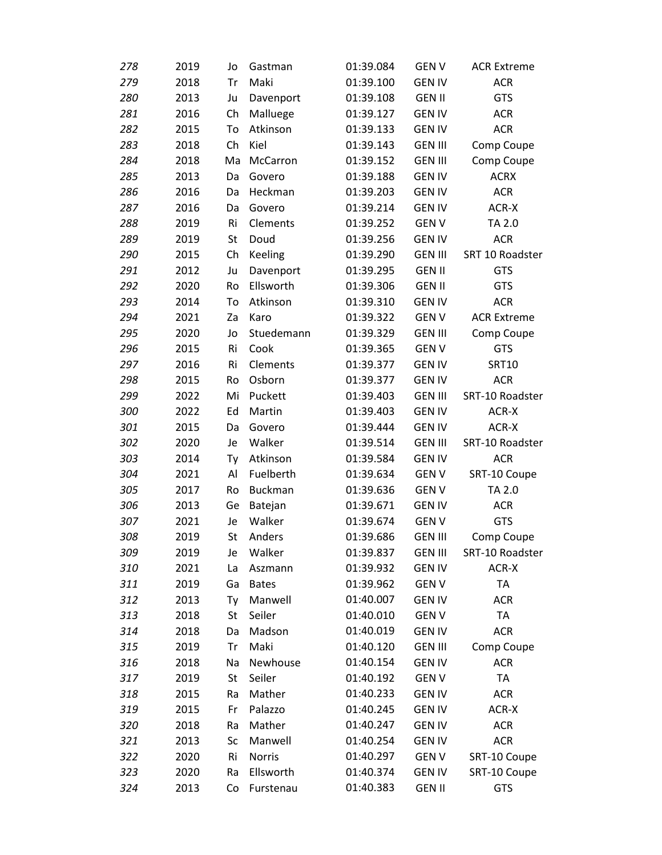| 278 | 2019 | Jo | Gastman        | 01:39.084 | <b>GENV</b>    | <b>ACR Extreme</b> |
|-----|------|----|----------------|-----------|----------------|--------------------|
| 279 | 2018 | Tr | Maki           | 01:39.100 | <b>GEN IV</b>  | <b>ACR</b>         |
| 280 | 2013 | Ju | Davenport      | 01:39.108 | <b>GEN II</b>  | GTS                |
| 281 | 2016 | Ch | Malluege       | 01:39.127 | <b>GEN IV</b>  | <b>ACR</b>         |
| 282 | 2015 | To | Atkinson       | 01:39.133 | <b>GEN IV</b>  | <b>ACR</b>         |
| 283 | 2018 | Ch | Kiel           | 01:39.143 | <b>GEN III</b> | Comp Coupe         |
| 284 | 2018 | Ma | McCarron       | 01:39.152 | <b>GEN III</b> | Comp Coupe         |
| 285 | 2013 | Da | Govero         | 01:39.188 | <b>GEN IV</b>  | <b>ACRX</b>        |
| 286 | 2016 | Da | Heckman        | 01:39.203 | <b>GEN IV</b>  | <b>ACR</b>         |
| 287 | 2016 | Da | Govero         | 01:39.214 | <b>GEN IV</b>  | ACR-X              |
| 288 | 2019 | Ri | Clements       | 01:39.252 | <b>GENV</b>    | TA 2.0             |
| 289 | 2019 | St | Doud           | 01:39.256 | <b>GEN IV</b>  | <b>ACR</b>         |
| 290 | 2015 | Ch | <b>Keeling</b> | 01:39.290 | <b>GEN III</b> | SRT 10 Roadster    |
| 291 | 2012 | Ju | Davenport      | 01:39.295 | <b>GEN II</b>  | <b>GTS</b>         |
| 292 | 2020 | Ro | Ellsworth      | 01:39.306 | <b>GEN II</b>  | <b>GTS</b>         |
| 293 | 2014 | To | Atkinson       | 01:39.310 | <b>GEN IV</b>  | <b>ACR</b>         |
| 294 | 2021 | Za | Karo           | 01:39.322 | <b>GENV</b>    | <b>ACR Extreme</b> |
| 295 | 2020 | Jo | Stuedemann     | 01:39.329 | <b>GEN III</b> | Comp Coupe         |
| 296 | 2015 | Ri | Cook           | 01:39.365 | <b>GENV</b>    | <b>GTS</b>         |
| 297 | 2016 | Ri | Clements       | 01:39.377 | <b>GEN IV</b>  | <b>SRT10</b>       |
| 298 | 2015 | Ro | Osborn         | 01:39.377 | <b>GEN IV</b>  | <b>ACR</b>         |
| 299 | 2022 | Mi | Puckett        | 01:39.403 | <b>GEN III</b> | SRT-10 Roadster    |
| 300 | 2022 | Ed | Martin         | 01:39.403 | <b>GEN IV</b>  | ACR-X              |
| 301 | 2015 | Da | Govero         | 01:39.444 | <b>GEN IV</b>  | ACR-X              |
| 302 | 2020 | Je | Walker         | 01:39.514 | <b>GEN III</b> | SRT-10 Roadster    |
| 303 | 2014 | Ty | Atkinson       | 01:39.584 | <b>GEN IV</b>  | <b>ACR</b>         |
| 304 | 2021 | Al | Fuelberth      | 01:39.634 | <b>GENV</b>    | SRT-10 Coupe       |
| 305 | 2017 | Ro | <b>Buckman</b> | 01:39.636 | <b>GENV</b>    | TA 2.0             |
| 306 | 2013 | Ge | Batejan        | 01:39.671 | <b>GEN IV</b>  | <b>ACR</b>         |
| 307 | 2021 | Je | Walker         | 01:39.674 | <b>GENV</b>    | <b>GTS</b>         |
| 308 | 2019 | St | Anders         | 01:39.686 | <b>GEN III</b> | Comp Coupe         |
| 309 | 2019 | Je | Walker         | 01:39.837 | <b>GEN III</b> | SRT-10 Roadster    |
| 310 | 2021 | La | Aszmann        | 01:39.932 | <b>GEN IV</b>  | ACR-X              |
| 311 | 2019 | Ga | <b>Bates</b>   | 01:39.962 | <b>GEN V</b>   | TA                 |
| 312 | 2013 | Ty | Manwell        | 01:40.007 | <b>GEN IV</b>  | <b>ACR</b>         |
| 313 | 2018 | St | Seiler         | 01:40.010 | <b>GENV</b>    | <b>TA</b>          |
| 314 | 2018 | Da | Madson         | 01:40.019 | <b>GEN IV</b>  | <b>ACR</b>         |
| 315 | 2019 | Tr | Maki           | 01:40.120 | <b>GEN III</b> | Comp Coupe         |
| 316 | 2018 | Na | Newhouse       | 01:40.154 | <b>GEN IV</b>  | <b>ACR</b>         |
| 317 | 2019 | St | Seiler         | 01:40.192 | <b>GENV</b>    | <b>TA</b>          |
| 318 | 2015 | Ra | Mather         | 01:40.233 | <b>GEN IV</b>  | <b>ACR</b>         |
| 319 | 2015 | Fr | Palazzo        | 01:40.245 | <b>GEN IV</b>  | ACR-X              |
| 320 | 2018 | Ra | Mather         | 01:40.247 | <b>GEN IV</b>  | <b>ACR</b>         |
| 321 | 2013 | Sc | Manwell        | 01:40.254 | <b>GEN IV</b>  | <b>ACR</b>         |
| 322 | 2020 | Ri | Norris         | 01:40.297 | <b>GENV</b>    | SRT-10 Coupe       |
| 323 | 2020 | Ra | Ellsworth      | 01:40.374 | <b>GEN IV</b>  | SRT-10 Coupe       |
| 324 | 2013 | Co | Furstenau      | 01:40.383 | <b>GEN II</b>  | <b>GTS</b>         |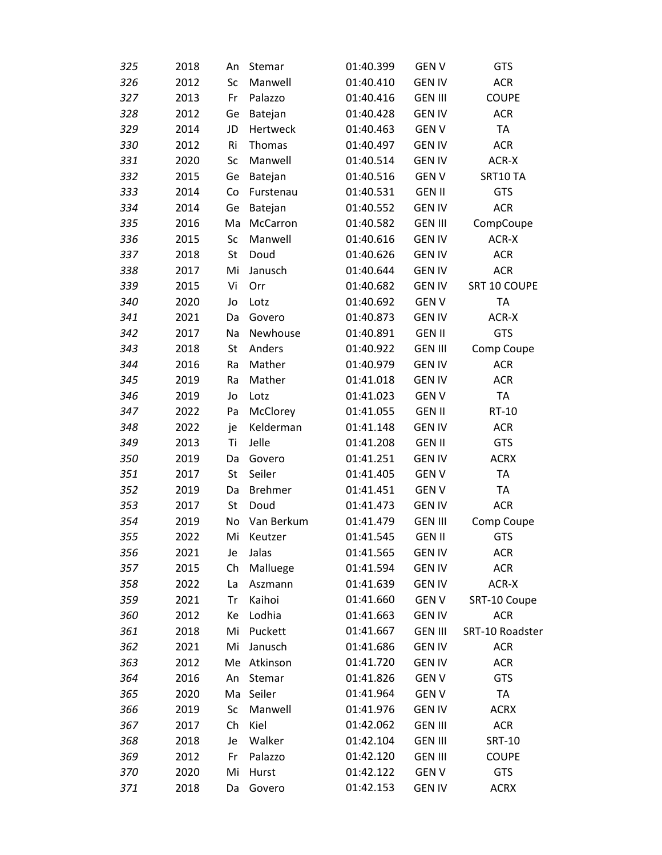| 325 | 2018 | An | Stemar         | 01:40.399 | <b>GENV</b>    | <b>GTS</b>      |  |
|-----|------|----|----------------|-----------|----------------|-----------------|--|
| 326 | 2012 | Sc | Manwell        | 01:40.410 | <b>GEN IV</b>  | <b>ACR</b>      |  |
| 327 | 2013 | Fr | Palazzo        | 01:40.416 | <b>GEN III</b> | <b>COUPE</b>    |  |
| 328 | 2012 | Ge | Batejan        | 01:40.428 | <b>GEN IV</b>  | <b>ACR</b>      |  |
| 329 | 2014 | JD | Hertweck       | 01:40.463 | <b>GENV</b>    | <b>TA</b>       |  |
| 330 | 2012 | Ri | Thomas         | 01:40.497 | <b>GEN IV</b>  | <b>ACR</b>      |  |
| 331 | 2020 | Sc | Manwell        | 01:40.514 | <b>GEN IV</b>  | ACR-X           |  |
| 332 | 2015 | Ge | Batejan        | 01:40.516 | <b>GENV</b>    | SRT10 TA        |  |
| 333 | 2014 | Co | Furstenau      | 01:40.531 | <b>GEN II</b>  | <b>GTS</b>      |  |
| 334 | 2014 | Ge | Batejan        | 01:40.552 | <b>GEN IV</b>  | <b>ACR</b>      |  |
| 335 | 2016 | Ma | McCarron       | 01:40.582 | <b>GEN III</b> | CompCoupe       |  |
| 336 | 2015 | Sc | Manwell        | 01:40.616 | <b>GEN IV</b>  | ACR-X           |  |
| 337 | 2018 | St | Doud           | 01:40.626 | <b>GEN IV</b>  | <b>ACR</b>      |  |
| 338 | 2017 | Mi | Janusch        | 01:40.644 | <b>GEN IV</b>  | <b>ACR</b>      |  |
| 339 | 2015 | Vi | Orr            | 01:40.682 | <b>GEN IV</b>  | SRT 10 COUPE    |  |
| 340 | 2020 | Jo | Lotz           | 01:40.692 | <b>GENV</b>    | <b>TA</b>       |  |
| 341 | 2021 | Da | Govero         | 01:40.873 | <b>GEN IV</b>  | ACR-X           |  |
| 342 | 2017 | Na | Newhouse       | 01:40.891 | <b>GEN II</b>  | GTS             |  |
| 343 | 2018 | St | Anders         | 01:40.922 | <b>GEN III</b> | Comp Coupe      |  |
| 344 | 2016 | Ra | Mather         | 01:40.979 | <b>GEN IV</b>  | <b>ACR</b>      |  |
| 345 | 2019 | Ra | Mather         | 01:41.018 | <b>GEN IV</b>  | <b>ACR</b>      |  |
| 346 | 2019 | Jo | Lotz           | 01:41.023 | <b>GENV</b>    | <b>TA</b>       |  |
| 347 | 2022 | Pa | McClorey       | 01:41.055 | <b>GEN II</b>  | RT-10           |  |
| 348 | 2022 | je | Kelderman      | 01:41.148 | <b>GEN IV</b>  | <b>ACR</b>      |  |
| 349 | 2013 | Ti | Jelle          | 01:41.208 | <b>GEN II</b>  | <b>GTS</b>      |  |
| 350 | 2019 | Da | Govero         | 01:41.251 | <b>GEN IV</b>  | <b>ACRX</b>     |  |
| 351 | 2017 | St | Seiler         | 01:41.405 | <b>GENV</b>    | <b>TA</b>       |  |
| 352 | 2019 | Da | <b>Brehmer</b> | 01:41.451 | <b>GENV</b>    | TA              |  |
| 353 | 2017 | St | Doud           | 01:41.473 | <b>GEN IV</b>  | <b>ACR</b>      |  |
| 354 | 2019 | No | Van Berkum     | 01:41.479 | <b>GEN III</b> | Comp Coupe      |  |
| 355 | 2022 | Mi | Keutzer        | 01:41.545 | <b>GEN II</b>  | <b>GTS</b>      |  |
| 356 | 2021 | Je | Jalas          | 01:41.565 | <b>GEN IV</b>  | <b>ACR</b>      |  |
| 357 | 2015 | Ch | Malluege       | 01:41.594 | <b>GEN IV</b>  | <b>ACR</b>      |  |
| 358 | 2022 | La | Aszmann        | 01:41.639 | <b>GEN IV</b>  | ACR-X           |  |
| 359 | 2021 | Tr | Kaihoi         | 01:41.660 | <b>GENV</b>    | SRT-10 Coupe    |  |
| 360 | 2012 | Ke | Lodhia         | 01:41.663 | <b>GEN IV</b>  | <b>ACR</b>      |  |
| 361 | 2018 | Mi | Puckett        | 01:41.667 | <b>GEN III</b> | SRT-10 Roadster |  |
| 362 | 2021 | Mi | Janusch        | 01:41.686 | <b>GEN IV</b>  | <b>ACR</b>      |  |
| 363 | 2012 |    | Me Atkinson    | 01:41.720 | <b>GEN IV</b>  | <b>ACR</b>      |  |
| 364 | 2016 | An | Stemar         | 01:41.826 | <b>GENV</b>    | <b>GTS</b>      |  |
| 365 | 2020 |    | Ma Seiler      | 01:41.964 | <b>GENV</b>    | TA              |  |
| 366 | 2019 | Sc | Manwell        | 01:41.976 | <b>GEN IV</b>  | <b>ACRX</b>     |  |
| 367 | 2017 | Ch | Kiel           | 01:42.062 | <b>GEN III</b> | <b>ACR</b>      |  |
| 368 | 2018 | Je | Walker         | 01:42.104 | <b>GEN III</b> | <b>SRT-10</b>   |  |
| 369 | 2012 | Fr | Palazzo        | 01:42.120 | <b>GEN III</b> | <b>COUPE</b>    |  |
| 370 | 2020 | Mi | Hurst          | 01:42.122 | <b>GENV</b>    | <b>GTS</b>      |  |
| 371 | 2018 | Da | Govero         | 01:42.153 | <b>GEN IV</b>  | <b>ACRX</b>     |  |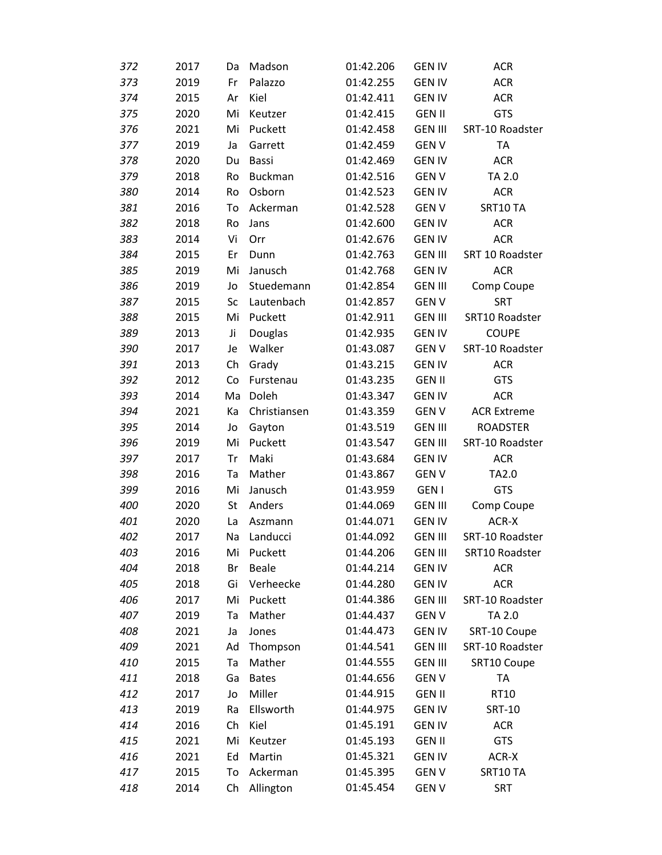| 372 | 2017 | Da | Madson       | 01:42.206 | <b>GEN IV</b>  | <b>ACR</b>         |
|-----|------|----|--------------|-----------|----------------|--------------------|
| 373 | 2019 | Fr | Palazzo      | 01:42.255 | <b>GEN IV</b>  | <b>ACR</b>         |
| 374 | 2015 | Ar | Kiel         | 01:42.411 | <b>GEN IV</b>  | <b>ACR</b>         |
| 375 | 2020 | Mi | Keutzer      | 01:42.415 | <b>GEN II</b>  | GTS                |
| 376 | 2021 | Mi | Puckett      | 01:42.458 | <b>GEN III</b> | SRT-10 Roadster    |
| 377 | 2019 | Ja | Garrett      | 01:42.459 | <b>GENV</b>    | <b>TA</b>          |
| 378 | 2020 | Du | Bassi        | 01:42.469 | <b>GEN IV</b>  | <b>ACR</b>         |
| 379 | 2018 | Ro | Buckman      | 01:42.516 | <b>GENV</b>    | TA 2.0             |
| 380 | 2014 | Ro | Osborn       | 01:42.523 | <b>GEN IV</b>  | <b>ACR</b>         |
| 381 | 2016 | To | Ackerman     | 01:42.528 | <b>GENV</b>    | SRT10 TA           |
| 382 | 2018 | Ro | Jans         | 01:42.600 | <b>GEN IV</b>  | <b>ACR</b>         |
| 383 | 2014 | Vi | Orr          | 01:42.676 | <b>GEN IV</b>  | <b>ACR</b>         |
| 384 | 2015 | Er | Dunn         | 01:42.763 | <b>GEN III</b> | SRT 10 Roadster    |
| 385 | 2019 | Mi | Janusch      | 01:42.768 | <b>GEN IV</b>  | <b>ACR</b>         |
| 386 | 2019 | Jo | Stuedemann   | 01:42.854 | <b>GEN III</b> | Comp Coupe         |
| 387 | 2015 | Sc | Lautenbach   | 01:42.857 | <b>GENV</b>    | <b>SRT</b>         |
| 388 | 2015 | Mi | Puckett      | 01:42.911 | <b>GEN III</b> | SRT10 Roadster     |
| 389 | 2013 | Ji | Douglas      | 01:42.935 | <b>GEN IV</b>  | <b>COUPE</b>       |
| 390 | 2017 | Je | Walker       | 01:43.087 | <b>GENV</b>    | SRT-10 Roadster    |
| 391 | 2013 | Ch | Grady        | 01:43.215 | <b>GEN IV</b>  | <b>ACR</b>         |
| 392 | 2012 | Co | Furstenau    | 01:43.235 | <b>GEN II</b>  | GTS                |
| 393 | 2014 | Ma | Doleh        | 01:43.347 | <b>GEN IV</b>  | <b>ACR</b>         |
| 394 | 2021 | Кa | Christiansen | 01:43.359 | <b>GENV</b>    | <b>ACR Extreme</b> |
| 395 | 2014 | Jo | Gayton       | 01:43.519 | <b>GEN III</b> | <b>ROADSTER</b>    |
| 396 | 2019 | Mi | Puckett      | 01:43.547 | <b>GEN III</b> | SRT-10 Roadster    |
| 397 | 2017 | Tr | Maki         | 01:43.684 | <b>GEN IV</b>  | <b>ACR</b>         |
| 398 | 2016 | Ta | Mather       | 01:43.867 | <b>GENV</b>    | TA2.0              |
| 399 | 2016 | Mi | Janusch      | 01:43.959 | <b>GEN I</b>   | GTS                |
| 400 | 2020 | St | Anders       | 01:44.069 | <b>GEN III</b> | Comp Coupe         |
| 401 | 2020 | La | Aszmann      | 01:44.071 | <b>GEN IV</b>  | ACR-X              |
| 402 | 2017 | Na | Landucci     | 01:44.092 | <b>GEN III</b> | SRT-10 Roadster    |
| 403 | 2016 | Mi | Puckett      | 01:44.206 | <b>GEN III</b> | SRT10 Roadster     |
| 404 | 2018 | Br | <b>Beale</b> | 01:44.214 | <b>GEN IV</b>  | <b>ACR</b>         |
| 405 | 2018 | Gi | Verheecke    | 01:44.280 | <b>GEN IV</b>  | <b>ACR</b>         |
| 406 | 2017 | Mi | Puckett      | 01:44.386 | <b>GEN III</b> | SRT-10 Roadster    |
| 407 | 2019 | Ta | Mather       | 01:44.437 | <b>GENV</b>    | TA 2.0             |
| 408 | 2021 | Ja | Jones        | 01:44.473 | <b>GEN IV</b>  | SRT-10 Coupe       |
| 409 | 2021 | Ad | Thompson     | 01:44.541 | <b>GEN III</b> | SRT-10 Roadster    |
| 410 | 2015 | Ta | Mather       | 01:44.555 | <b>GEN III</b> | SRT10 Coupe        |
| 411 | 2018 | Ga | <b>Bates</b> | 01:44.656 | <b>GENV</b>    | TA                 |
| 412 | 2017 | Jo | Miller       | 01:44.915 | <b>GEN II</b>  | RT10               |
| 413 | 2019 | Ra | Ellsworth    | 01:44.975 | <b>GEN IV</b>  | <b>SRT-10</b>      |
| 414 | 2016 | Ch | Kiel         | 01:45.191 | <b>GEN IV</b>  | <b>ACR</b>         |
| 415 | 2021 | Mi | Keutzer      | 01:45.193 | <b>GEN II</b>  | <b>GTS</b>         |
| 416 | 2021 | Ed | Martin       | 01:45.321 | <b>GEN IV</b>  | ACR-X              |
| 417 | 2015 | To | Ackerman     | 01:45.395 | <b>GENV</b>    | SRT10 TA           |
| 418 | 2014 | Ch | Allington    | 01:45.454 | <b>GENV</b>    | <b>SRT</b>         |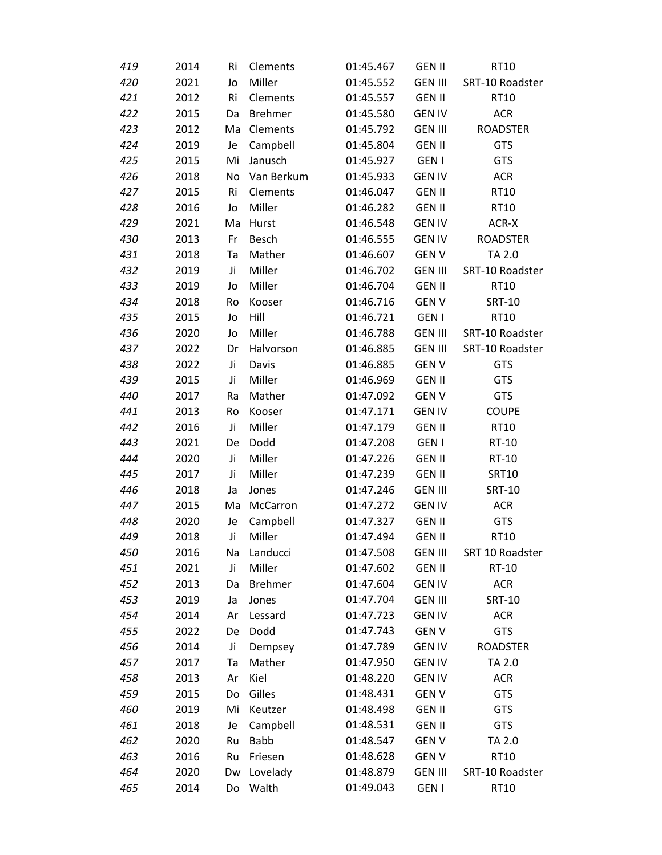| 419 | 2014 | Ri | Clements       | 01:45.467 | <b>GEN II</b>  | RT10            |
|-----|------|----|----------------|-----------|----------------|-----------------|
| 420 | 2021 | Jo | Miller         | 01:45.552 | <b>GEN III</b> | SRT-10 Roadster |
| 421 | 2012 | Ri | Clements       | 01:45.557 | <b>GEN II</b>  | <b>RT10</b>     |
| 422 | 2015 | Da | <b>Brehmer</b> | 01:45.580 | <b>GEN IV</b>  | <b>ACR</b>      |
| 423 | 2012 | Ma | Clements       | 01:45.792 | <b>GEN III</b> | <b>ROADSTER</b> |
| 424 | 2019 | Je | Campbell       | 01:45.804 | <b>GEN II</b>  | <b>GTS</b>      |
| 425 | 2015 | Mi | Janusch        | 01:45.927 | <b>GEN I</b>   | <b>GTS</b>      |
| 426 | 2018 | No | Van Berkum     | 01:45.933 | <b>GEN IV</b>  | <b>ACR</b>      |
| 427 | 2015 | Ri | Clements       | 01:46.047 | <b>GEN II</b>  | RT10            |
| 428 | 2016 | Jo | Miller         | 01:46.282 | <b>GEN II</b>  | RT10            |
| 429 | 2021 | Ma | Hurst          | 01:46.548 | <b>GEN IV</b>  | ACR-X           |
| 430 | 2013 | Fr | Besch          | 01:46.555 | <b>GEN IV</b>  | <b>ROADSTER</b> |
| 431 | 2018 | Ta | Mather         | 01:46.607 | <b>GENV</b>    | TA 2.0          |
| 432 | 2019 | Ji | Miller         | 01:46.702 | <b>GEN III</b> | SRT-10 Roadster |
| 433 | 2019 | Jo | Miller         | 01:46.704 | <b>GEN II</b>  | RT10            |
| 434 | 2018 | Ro | Kooser         | 01:46.716 | <b>GENV</b>    | <b>SRT-10</b>   |
| 435 | 2015 | Jo | Hill           | 01:46.721 | <b>GEN I</b>   | RT10            |
| 436 | 2020 | Jo | Miller         | 01:46.788 | <b>GEN III</b> | SRT-10 Roadster |
| 437 | 2022 | Dr | Halvorson      | 01:46.885 | <b>GEN III</b> | SRT-10 Roadster |
| 438 | 2022 | Ji | Davis          | 01:46.885 | <b>GENV</b>    | <b>GTS</b>      |
| 439 | 2015 | Ji | Miller         | 01:46.969 | <b>GEN II</b>  | <b>GTS</b>      |
| 440 | 2017 | Ra | Mather         | 01:47.092 | <b>GENV</b>    | <b>GTS</b>      |
| 441 | 2013 | Ro | Kooser         | 01:47.171 | <b>GEN IV</b>  | <b>COUPE</b>    |
| 442 | 2016 | Ji | Miller         | 01:47.179 | <b>GEN II</b>  | RT10            |
| 443 | 2021 | De | Dodd           | 01:47.208 | <b>GEN I</b>   | RT-10           |
| 444 | 2020 | Ji | Miller         | 01:47.226 | <b>GEN II</b>  | RT-10           |
| 445 | 2017 | Ji | Miller         | 01:47.239 | <b>GEN II</b>  | <b>SRT10</b>    |
| 446 | 2018 | Ja | Jones          | 01:47.246 | <b>GEN III</b> | <b>SRT-10</b>   |
| 447 | 2015 | Ma | McCarron       | 01:47.272 | <b>GEN IV</b>  | <b>ACR</b>      |
| 448 | 2020 | Je | Campbell       | 01:47.327 | <b>GEN II</b>  | <b>GTS</b>      |
| 449 | 2018 | Ji | Miller         | 01:47.494 | <b>GEN II</b>  | RT10            |
| 450 | 2016 | Na | Landucci       | 01:47.508 | <b>GEN III</b> | SRT 10 Roadster |
| 451 | 2021 | Ji | Miller         | 01:47.602 | <b>GEN II</b>  | RT-10           |
| 452 | 2013 | Da | <b>Brehmer</b> | 01:47.604 | <b>GEN IV</b>  | <b>ACR</b>      |
| 453 | 2019 | Ja | Jones          | 01:47.704 | <b>GEN III</b> | <b>SRT-10</b>   |
| 454 | 2014 | Ar | Lessard        | 01:47.723 | <b>GEN IV</b>  | <b>ACR</b>      |
| 455 | 2022 | De | Dodd           | 01:47.743 | <b>GENV</b>    | <b>GTS</b>      |
| 456 | 2014 | Ji | Dempsey        | 01:47.789 | <b>GEN IV</b>  | <b>ROADSTER</b> |
| 457 | 2017 | Ta | Mather         | 01:47.950 | <b>GEN IV</b>  | TA 2.0          |
| 458 | 2013 | Ar | Kiel           | 01:48.220 | <b>GEN IV</b>  | <b>ACR</b>      |
| 459 | 2015 | Do | Gilles         | 01:48.431 | <b>GENV</b>    | <b>GTS</b>      |
| 460 | 2019 | Mi | Keutzer        | 01:48.498 | <b>GEN II</b>  | <b>GTS</b>      |
| 461 | 2018 | Je | Campbell       | 01:48.531 | <b>GEN II</b>  | <b>GTS</b>      |
| 462 | 2020 | Ru | <b>Babb</b>    | 01:48.547 | <b>GENV</b>    | TA 2.0          |
| 463 | 2016 | Ru | Friesen        | 01:48.628 | <b>GENV</b>    | RT10            |
| 464 | 2020 | Dw | Lovelady       | 01:48.879 | <b>GEN III</b> | SRT-10 Roadster |
| 465 | 2014 | Do | Walth          | 01:49.043 | <b>GEN I</b>   | RT10            |